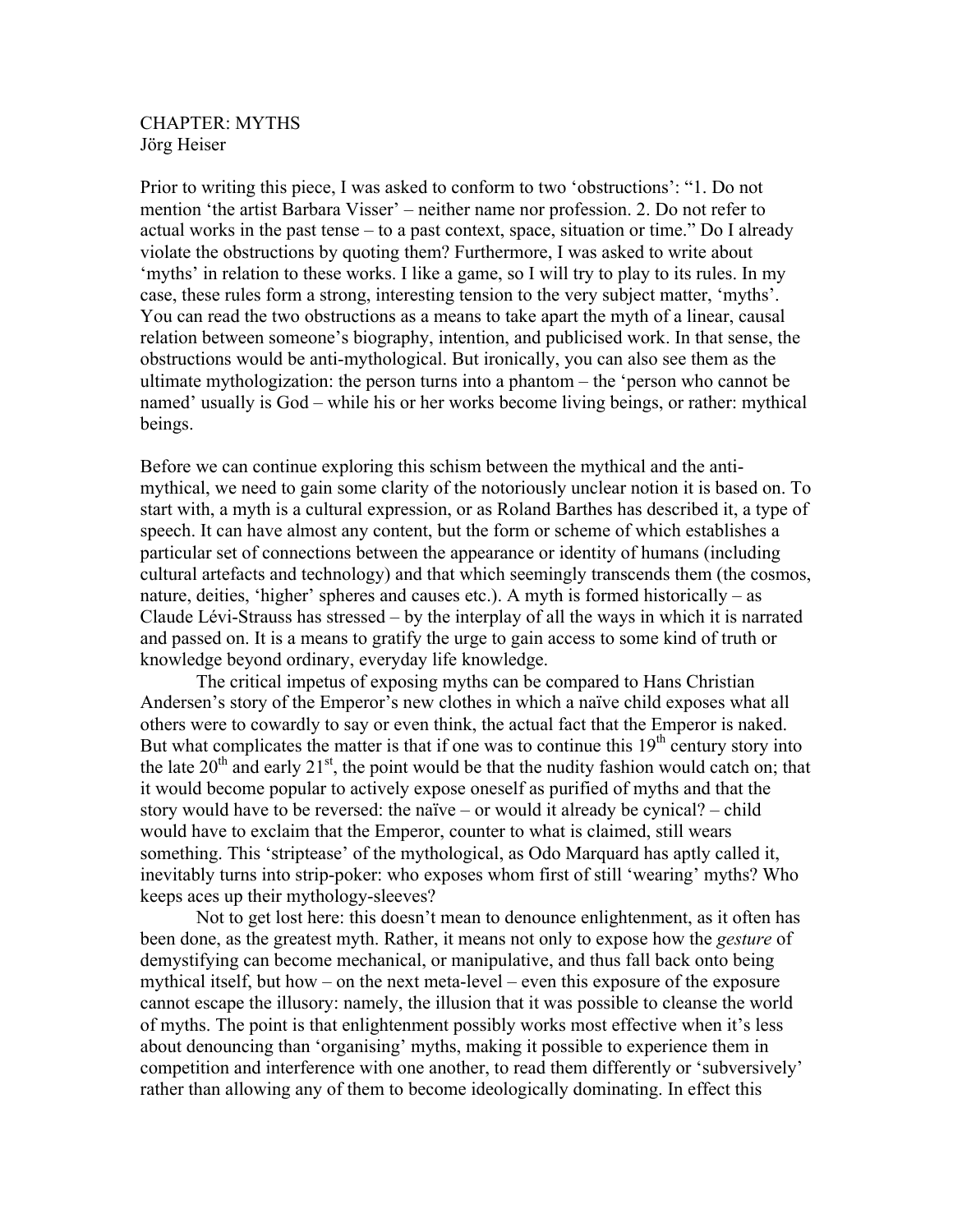## CHAPTER: MYTHS Jörg Heiser

Prior to writing this piece, I was asked to conform to two 'obstructions': "1. Do not mention 'the artist Barbara Visser' – neither name nor profession. 2. Do not refer to actual works in the past tense – to a past context, space, situation or time." Do I already violate the obstructions by quoting them? Furthermore, I was asked to write about 'myths' in relation to these works. I like a game, so I will try to play to its rules. In my case, these rules form a strong, interesting tension to the very subject matter, 'myths'. You can read the two obstructions as a means to take apart the myth of a linear, causal relation between someone's biography, intention, and publicised work. In that sense, the obstructions would be anti-mythological. But ironically, you can also see them as the ultimate mythologization: the person turns into a phantom – the 'person who cannot be named' usually is God – while his or her works become living beings, or rather: mythical beings.

Before we can continue exploring this schism between the mythical and the antimythical, we need to gain some clarity of the notoriously unclear notion it is based on. To start with, a myth is a cultural expression, or as Roland Barthes has described it, a type of speech. It can have almost any content, but the form or scheme of which establishes a particular set of connections between the appearance or identity of humans (including cultural artefacts and technology) and that which seemingly transcends them (the cosmos, nature, deities, 'higher' spheres and causes etc.). A myth is formed historically – as Claude Lévi-Strauss has stressed – by the interplay of all the ways in which it is narrated and passed on. It is a means to gratify the urge to gain access to some kind of truth or knowledge beyond ordinary, everyday life knowledge.

The critical impetus of exposing myths can be compared to Hans Christian Andersen's story of the Emperor's new clothes in which a naïve child exposes what all others were to cowardly to say or even think, the actual fact that the Emperor is naked. But what complicates the matter is that if one was to continue this  $19<sup>th</sup>$  century story into the late  $20<sup>th</sup>$  and early  $21<sup>st</sup>$ , the point would be that the nudity fashion would catch on; that it would become popular to actively expose oneself as purified of myths and that the story would have to be reversed: the naïve – or would it already be cynical? – child would have to exclaim that the Emperor, counter to what is claimed, still wears something. This 'striptease' of the mythological, as Odo Marquard has aptly called it, inevitably turns into strip-poker: who exposes whom first of still 'wearing' myths? Who keeps aces up their mythology-sleeves?

Not to get lost here: this doesn't mean to denounce enlightenment, as it often has been done, as the greatest myth. Rather, it means not only to expose how the *gesture* of demystifying can become mechanical, or manipulative, and thus fall back onto being mythical itself, but how – on the next meta-level – even this exposure of the exposure cannot escape the illusory: namely, the illusion that it was possible to cleanse the world of myths. The point is that enlightenment possibly works most effective when it's less about denouncing than 'organising' myths, making it possible to experience them in competition and interference with one another, to read them differently or 'subversively' rather than allowing any of them to become ideologically dominating. In effect this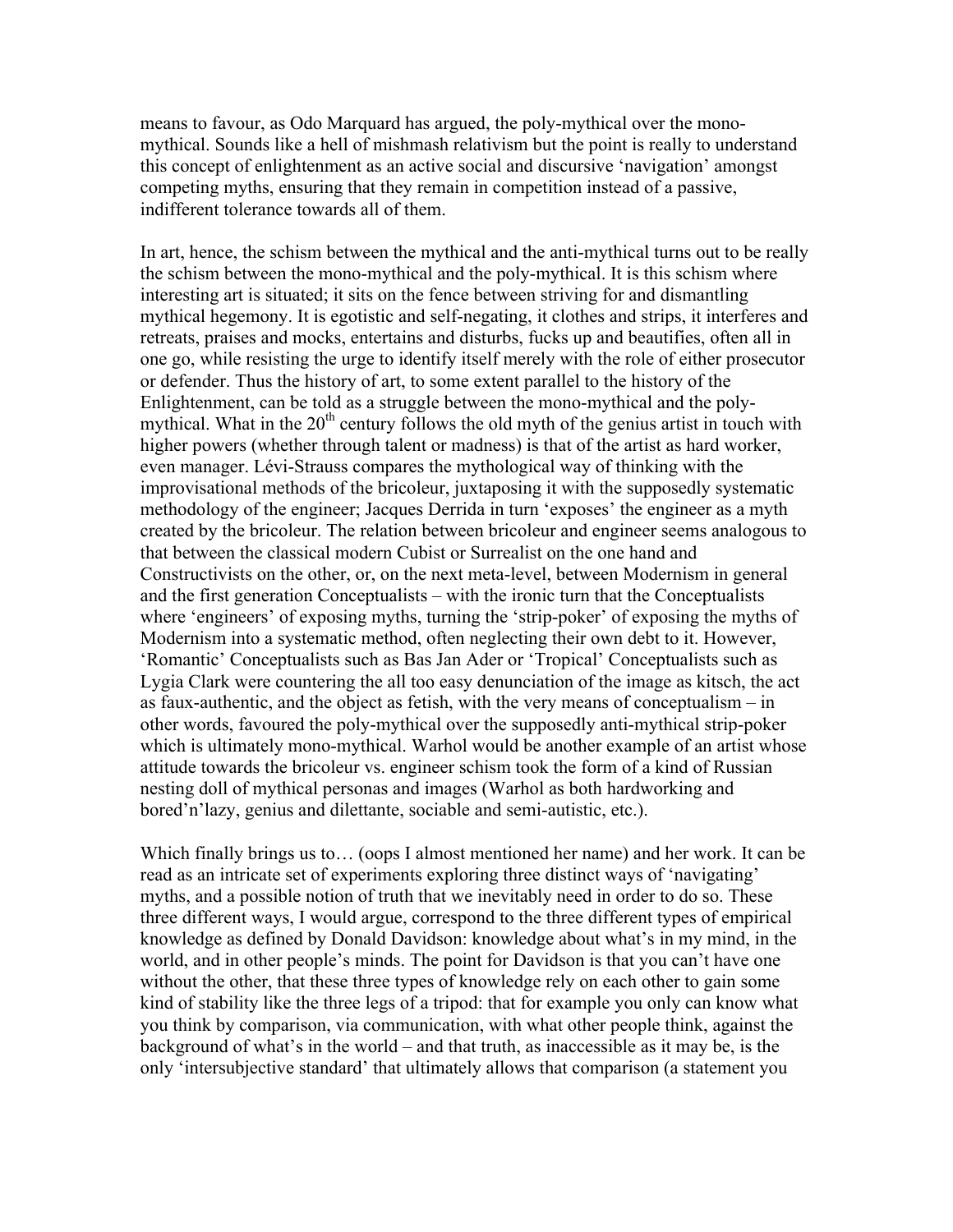means to favour, as Odo Marquard has argued, the poly-mythical over the monomythical. Sounds like a hell of mishmash relativism but the point is really to understand this concept of enlightenment as an active social and discursive 'navigation' amongst competing myths, ensuring that they remain in competition instead of a passive, indifferent tolerance towards all of them.

In art, hence, the schism between the mythical and the anti-mythical turns out to be really the schism between the mono-mythical and the poly-mythical. It is this schism where interesting art is situated; it sits on the fence between striving for and dismantling mythical hegemony. It is egotistic and self-negating, it clothes and strips, it interferes and retreats, praises and mocks, entertains and disturbs, fucks up and beautifies, often all in one go, while resisting the urge to identify itself merely with the role of either prosecutor or defender. Thus the history of art, to some extent parallel to the history of the Enlightenment, can be told as a struggle between the mono-mythical and the polymythical. What in the  $20<sup>th</sup>$  century follows the old myth of the genius artist in touch with higher powers (whether through talent or madness) is that of the artist as hard worker, even manager. Lévi-Strauss compares the mythological way of thinking with the improvisational methods of the bricoleur, juxtaposing it with the supposedly systematic methodology of the engineer; Jacques Derrida in turn 'exposes' the engineer as a myth created by the bricoleur. The relation between bricoleur and engineer seems analogous to that between the classical modern Cubist or Surrealist on the one hand and Constructivists on the other, or, on the next meta-level, between Modernism in general and the first generation Conceptualists – with the ironic turn that the Conceptualists where 'engineers' of exposing myths, turning the 'strip-poker' of exposing the myths of Modernism into a systematic method, often neglecting their own debt to it. However, 'Romantic' Conceptualists such as Bas Jan Ader or 'Tropical' Conceptualists such as Lygia Clark were countering the all too easy denunciation of the image as kitsch, the act as faux-authentic, and the object as fetish, with the very means of conceptualism – in other words, favoured the poly-mythical over the supposedly anti-mythical strip-poker which is ultimately mono-mythical. Warhol would be another example of an artist whose attitude towards the bricoleur vs. engineer schism took the form of a kind of Russian nesting doll of mythical personas and images (Warhol as both hardworking and bored'n'lazy, genius and dilettante, sociable and semi-autistic, etc.).

Which finally brings us to... (oops I almost mentioned her name) and her work. It can be read as an intricate set of experiments exploring three distinct ways of 'navigating' myths, and a possible notion of truth that we inevitably need in order to do so. These three different ways, I would argue, correspond to the three different types of empirical knowledge as defined by Donald Davidson: knowledge about what's in my mind, in the world, and in other people's minds. The point for Davidson is that you can't have one without the other, that these three types of knowledge rely on each other to gain some kind of stability like the three legs of a tripod: that for example you only can know what you think by comparison, via communication, with what other people think, against the background of what's in the world – and that truth, as inaccessible as it may be, is the only 'intersubjective standard' that ultimately allows that comparison (a statement you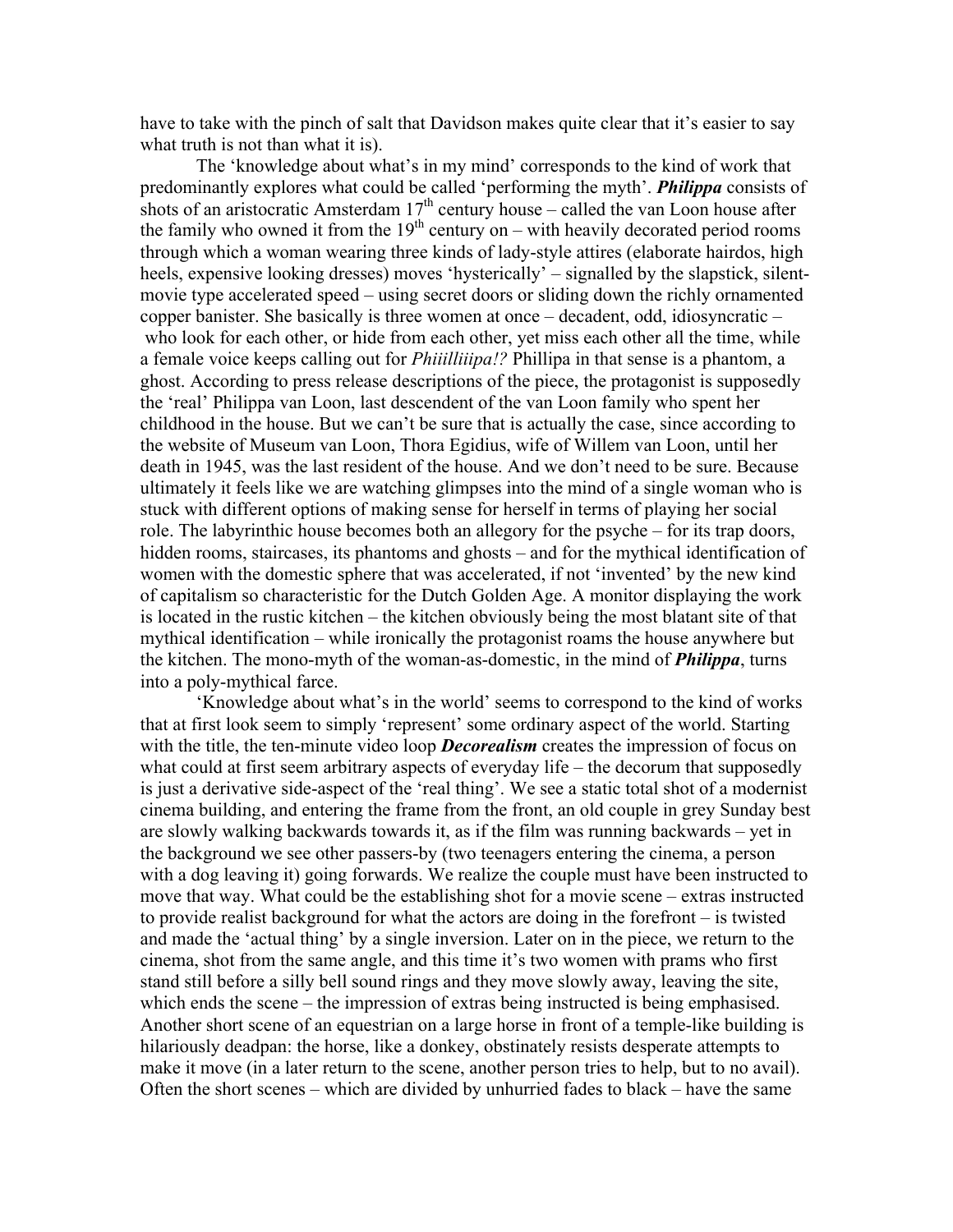have to take with the pinch of salt that Davidson makes quite clear that it's easier to say what truth is not than what it is).

The 'knowledge about what's in my mind' corresponds to the kind of work that predominantly explores what could be called 'performing the myth'. *Philippa* consists of shots of an aristocratic Amsterdam  $17<sup>th</sup>$  century house – called the van Loon house after the family who owned it from the  $19<sup>th</sup>$  century on – with heavily decorated period rooms through which a woman wearing three kinds of lady-style attires (elaborate hairdos, high heels, expensive looking dresses) moves 'hysterically' – signalled by the slapstick, silentmovie type accelerated speed – using secret doors or sliding down the richly ornamented copper banister. She basically is three women at once – decadent, odd, idiosyncratic – who look for each other, or hide from each other, yet miss each other all the time, while a female voice keeps calling out for *Phiiilliiipa!?* Phillipa in that sense is a phantom, a ghost. According to press release descriptions of the piece, the protagonist is supposedly the 'real' Philippa van Loon, last descendent of the van Loon family who spent her childhood in the house. But we can't be sure that is actually the case, since according to the website of Museum van Loon, Thora Egidius, wife of Willem van Loon, until her death in 1945, was the last resident of the house. And we don't need to be sure. Because ultimately it feels like we are watching glimpses into the mind of a single woman who is stuck with different options of making sense for herself in terms of playing her social role. The labyrinthic house becomes both an allegory for the psyche – for its trap doors, hidden rooms, staircases, its phantoms and ghosts – and for the mythical identification of women with the domestic sphere that was accelerated, if not 'invented' by the new kind of capitalism so characteristic for the Dutch Golden Age. A monitor displaying the work is located in the rustic kitchen – the kitchen obviously being the most blatant site of that mythical identification – while ironically the protagonist roams the house anywhere but the kitchen. The mono-myth of the woman-as-domestic, in the mind of *Philippa*, turns into a poly-mythical farce.

'Knowledge about what's in the world' seems to correspond to the kind of works that at first look seem to simply 'represent' some ordinary aspect of the world. Starting with the title, the ten-minute video loop *Decorealism* creates the impression of focus on what could at first seem arbitrary aspects of everyday life – the decorum that supposedly is just a derivative side-aspect of the 'real thing'. We see a static total shot of a modernist cinema building, and entering the frame from the front, an old couple in grey Sunday best are slowly walking backwards towards it, as if the film was running backwards – yet in the background we see other passers-by (two teenagers entering the cinema, a person with a dog leaving it) going forwards. We realize the couple must have been instructed to move that way. What could be the establishing shot for a movie scene – extras instructed to provide realist background for what the actors are doing in the forefront – is twisted and made the 'actual thing' by a single inversion. Later on in the piece, we return to the cinema, shot from the same angle, and this time it's two women with prams who first stand still before a silly bell sound rings and they move slowly away, leaving the site, which ends the scene – the impression of extras being instructed is being emphasised. Another short scene of an equestrian on a large horse in front of a temple-like building is hilariously deadpan: the horse, like a donkey, obstinately resists desperate attempts to make it move (in a later return to the scene, another person tries to help, but to no avail). Often the short scenes – which are divided by unhurried fades to black – have the same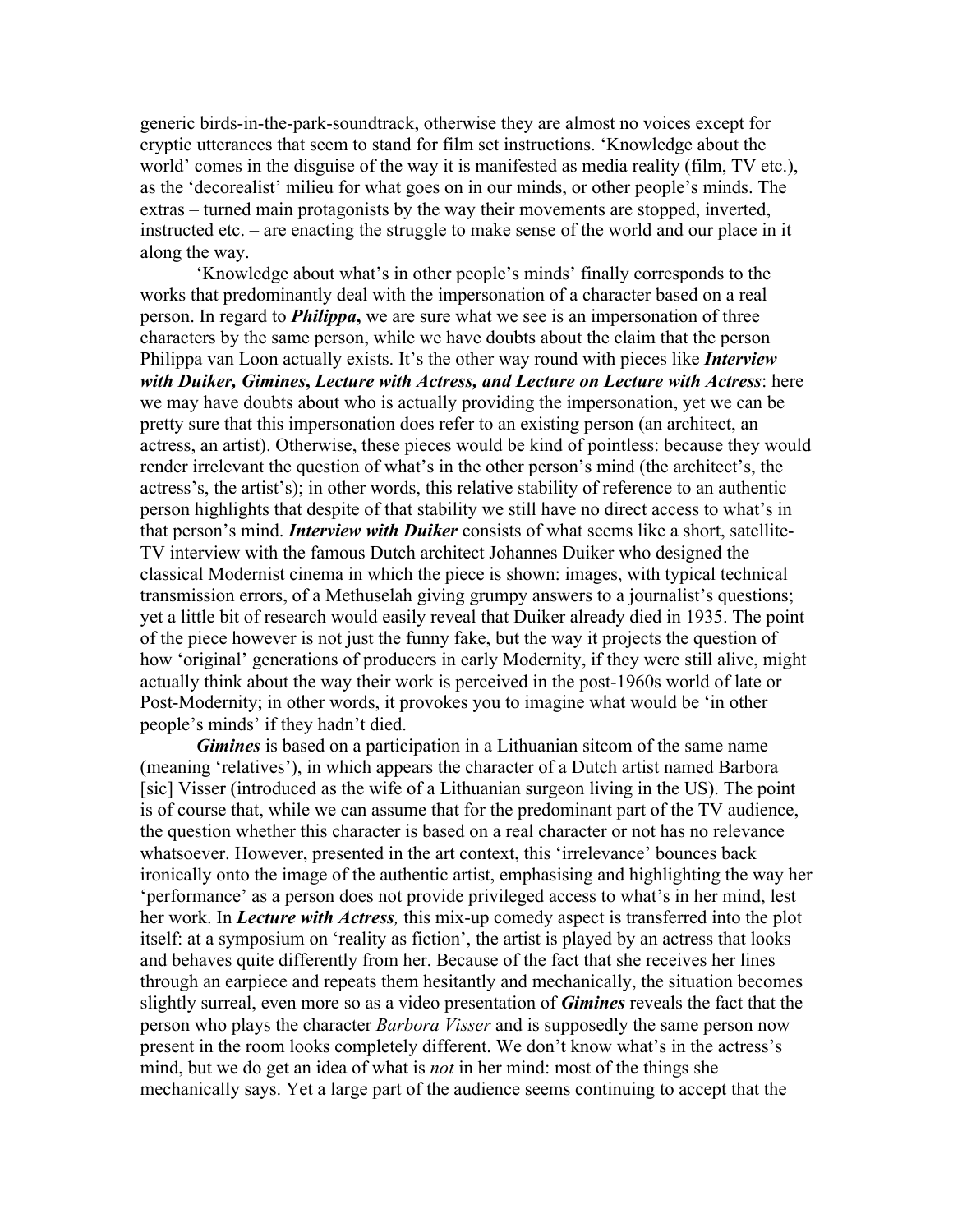generic birds-in-the-park-soundtrack, otherwise they are almost no voices except for cryptic utterances that seem to stand for film set instructions. 'Knowledge about the world' comes in the disguise of the way it is manifested as media reality (film, TV etc.), as the 'decorealist' milieu for what goes on in our minds, or other people's minds. The extras – turned main protagonists by the way their movements are stopped, inverted, instructed etc. – are enacting the struggle to make sense of the world and our place in it along the way.

'Knowledge about what's in other people's minds' finally corresponds to the works that predominantly deal with the impersonation of a character based on a real person. In regard to *Philippa***,** we are sure what we see is an impersonation of three characters by the same person, while we have doubts about the claim that the person Philippa van Loon actually exists. It's the other way round with pieces like *Interview with Duiker, Gimines***,** *Lecture with Actress, and Lecture on Lecture with Actress*: here we may have doubts about who is actually providing the impersonation, yet we can be pretty sure that this impersonation does refer to an existing person (an architect, an actress, an artist). Otherwise, these pieces would be kind of pointless: because they would render irrelevant the question of what's in the other person's mind (the architect's, the actress's, the artist's); in other words, this relative stability of reference to an authentic person highlights that despite of that stability we still have no direct access to what's in that person's mind. *Interview with Duiker* consists of what seems like a short, satellite-TV interview with the famous Dutch architect Johannes Duiker who designed the classical Modernist cinema in which the piece is shown: images, with typical technical transmission errors, of a Methuselah giving grumpy answers to a journalist's questions; yet a little bit of research would easily reveal that Duiker already died in 1935. The point of the piece however is not just the funny fake, but the way it projects the question of how 'original' generations of producers in early Modernity, if they were still alive, might actually think about the way their work is perceived in the post-1960s world of late or Post-Modernity; in other words, it provokes you to imagine what would be 'in other people's minds' if they hadn't died.

*Gimines* is based on a participation in a Lithuanian sitcom of the same name (meaning 'relatives'), in which appears the character of a Dutch artist named Barbora [sic] Visser (introduced as the wife of a Lithuanian surgeon living in the US). The point is of course that, while we can assume that for the predominant part of the TV audience, the question whether this character is based on a real character or not has no relevance whatsoever. However, presented in the art context, this 'irrelevance' bounces back ironically onto the image of the authentic artist, emphasising and highlighting the way her 'performance' as a person does not provide privileged access to what's in her mind, lest her work. In *Lecture with Actress,* this mix-up comedy aspect is transferred into the plot itself: at a symposium on 'reality as fiction', the artist is played by an actress that looks and behaves quite differently from her. Because of the fact that she receives her lines through an earpiece and repeats them hesitantly and mechanically, the situation becomes slightly surreal, even more so as a video presentation of *Gimines* reveals the fact that the person who plays the character *Barbora Visser* and is supposedly the same person now present in the room looks completely different. We don't know what's in the actress's mind, but we do get an idea of what is *not* in her mind: most of the things she mechanically says. Yet a large part of the audience seems continuing to accept that the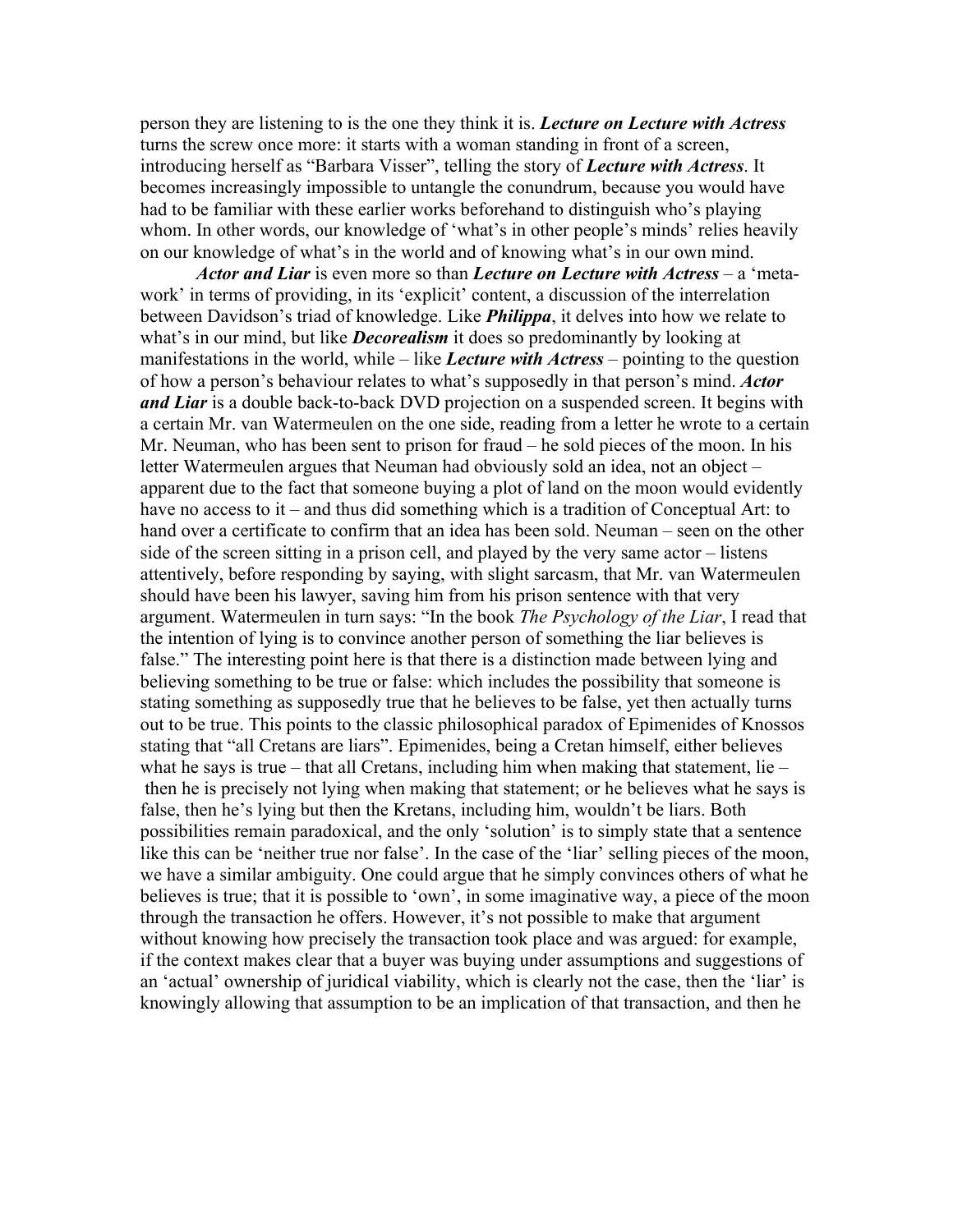person they are listening to is the one they think it is. *Lecture on Lecture with Actress* turns the screw once more: it starts with a woman standing in front of a screen, introducing herself as "Barbara Visser", telling the story of *Lecture with Actress*. It becomes increasingly impossible to untangle the conundrum, because you would have had to be familiar with these earlier works beforehand to distinguish who's playing whom. In other words, our knowledge of 'what's in other people's minds' relies heavily on our knowledge of what's in the world and of knowing what's in our own mind.

*Actor and Liar* is even more so than *Lecture on Lecture with Actress –* a 'metawork' in terms of providing, in its 'explicit' content, a discussion of the interrelation between Davidson's triad of knowledge. Like *Philippa*, it delves into how we relate to what's in our mind, but like *Decorealism* it does so predominantly by looking at manifestations in the world, while – like *Lecture with Actress* – pointing to the question of how a person's behaviour relates to what's supposedly in that person's mind. *Actor and Liar* is a double back-to-back DVD projection on a suspended screen. It begins with a certain Mr. van Watermeulen on the one side, reading from a letter he wrote to a certain Mr. Neuman, who has been sent to prison for fraud – he sold pieces of the moon. In his letter Watermeulen argues that Neuman had obviously sold an idea, not an object – apparent due to the fact that someone buying a plot of land on the moon would evidently have no access to it – and thus did something which is a tradition of Conceptual Art: to hand over a certificate to confirm that an idea has been sold. Neuman – seen on the other side of the screen sitting in a prison cell, and played by the very same actor – listens attentively, before responding by saying, with slight sarcasm, that Mr. van Watermeulen should have been his lawyer, saving him from his prison sentence with that very argument. Watermeulen in turn says: "In the book *The Psychology of the Liar*, I read that the intention of lying is to convince another person of something the liar believes is false." The interesting point here is that there is a distinction made between lying and believing something to be true or false: which includes the possibility that someone is stating something as supposedly true that he believes to be false, yet then actually turns out to be true. This points to the classic philosophical paradox of Epimenides of Knossos stating that "all Cretans are liars". Epimenides, being a Cretan himself, either believes what he says is true – that all Cretans, including him when making that statement, lie – then he is precisely not lying when making that statement; or he believes what he says is false, then he's lying but then the Kretans, including him, wouldn't be liars. Both possibilities remain paradoxical, and the only 'solution' is to simply state that a sentence like this can be 'neither true nor false'. In the case of the 'liar' selling pieces of the moon, we have a similar ambiguity. One could argue that he simply convinces others of what he believes is true; that it is possible to 'own', in some imaginative way, a piece of the moon through the transaction he offers. However, it's not possible to make that argument without knowing how precisely the transaction took place and was argued: for example, if the context makes clear that a buyer was buying under assumptions and suggestions of an 'actual' ownership of juridical viability, which is clearly not the case, then the 'liar' is knowingly allowing that assumption to be an implication of that transaction, and then he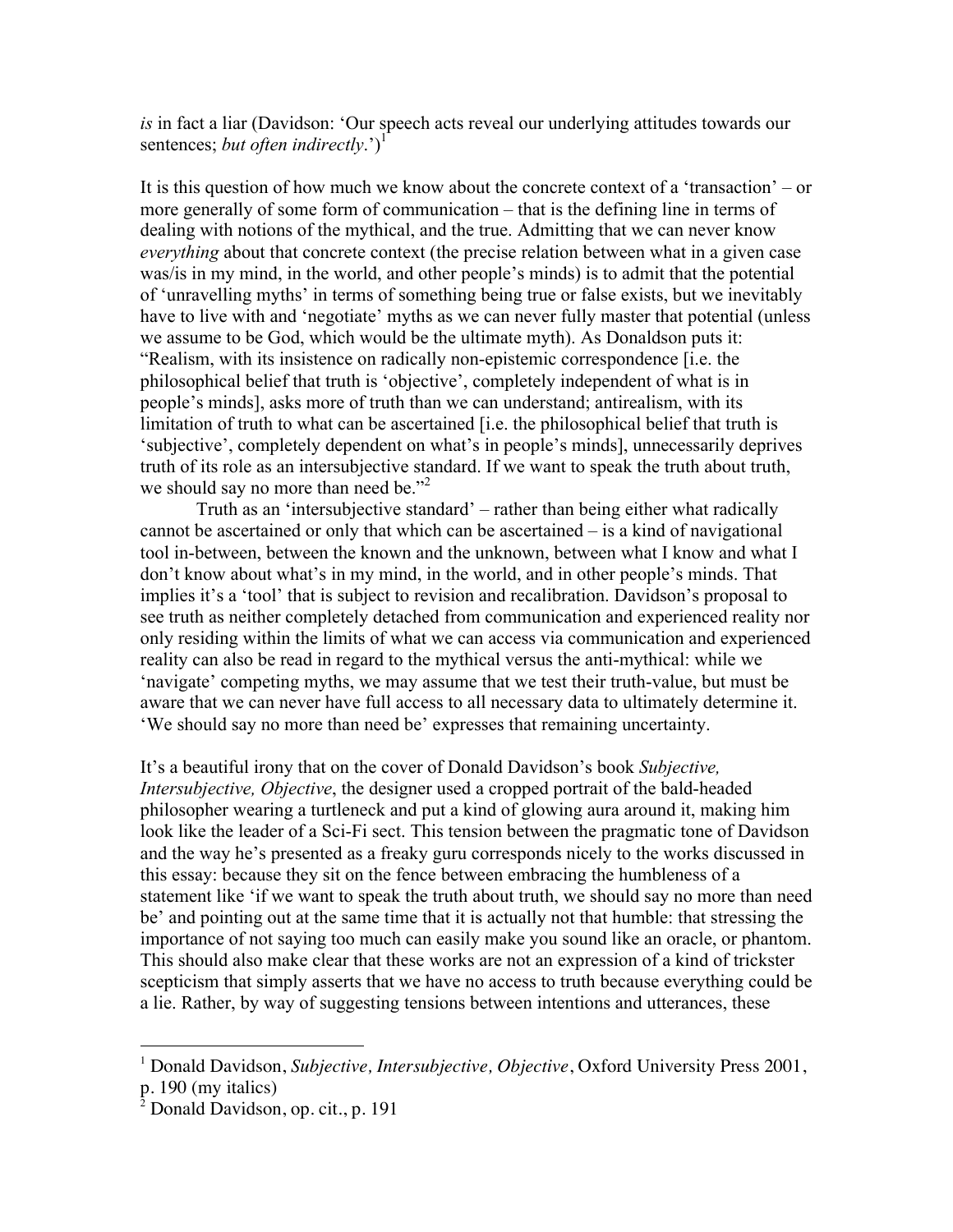*is* in fact a liar (Davidson: 'Our speech acts reveal our underlying attitudes towards our sentences; *but often indirectly*.')<sup>1</sup>

It is this question of how much we know about the concrete context of a 'transaction' – or more generally of some form of communication – that is the defining line in terms of dealing with notions of the mythical, and the true. Admitting that we can never know *everything* about that concrete context (the precise relation between what in a given case was/is in my mind, in the world, and other people's minds) is to admit that the potential of 'unravelling myths' in terms of something being true or false exists, but we inevitably have to live with and 'negotiate' myths as we can never fully master that potential (unless we assume to be God, which would be the ultimate myth). As Donaldson puts it: "Realism, with its insistence on radically non-epistemic correspondence [i.e. the philosophical belief that truth is 'objective', completely independent of what is in people's minds], asks more of truth than we can understand; antirealism, with its limitation of truth to what can be ascertained [i.e. the philosophical belief that truth is 'subjective', completely dependent on what's in people's minds], unnecessarily deprives truth of its role as an intersubjective standard. If we want to speak the truth about truth, we should say no more than need be."<sup>2</sup>

Truth as an 'intersubjective standard' – rather than being either what radically cannot be ascertained or only that which can be ascertained – is a kind of navigational tool in-between, between the known and the unknown, between what I know and what I don't know about what's in my mind, in the world, and in other people's minds. That implies it's a 'tool' that is subject to revision and recalibration. Davidson's proposal to see truth as neither completely detached from communication and experienced reality nor only residing within the limits of what we can access via communication and experienced reality can also be read in regard to the mythical versus the anti-mythical: while we 'navigate' competing myths, we may assume that we test their truth-value, but must be aware that we can never have full access to all necessary data to ultimately determine it. 'We should say no more than need be' expresses that remaining uncertainty.

It's a beautiful irony that on the cover of Donald Davidson's book *Subjective, Intersubjective, Objective*, the designer used a cropped portrait of the bald-headed philosopher wearing a turtleneck and put a kind of glowing aura around it, making him look like the leader of a Sci-Fi sect. This tension between the pragmatic tone of Davidson and the way he's presented as a freaky guru corresponds nicely to the works discussed in this essay: because they sit on the fence between embracing the humbleness of a statement like 'if we want to speak the truth about truth, we should say no more than need be' and pointing out at the same time that it is actually not that humble: that stressing the importance of not saying too much can easily make you sound like an oracle, or phantom. This should also make clear that these works are not an expression of a kind of trickster scepticism that simply asserts that we have no access to truth because everything could be a lie. Rather, by way of suggesting tensions between intentions and utterances, these

 $\frac{1}{1}$ <sup>1</sup> Donald Davidson, *Subjective, Intersubjective, Objective*, Oxford University Press 2001, p. 190 (my italics)

<sup>&</sup>lt;sup>2</sup> Donald Davidson, op. cit., p. 191